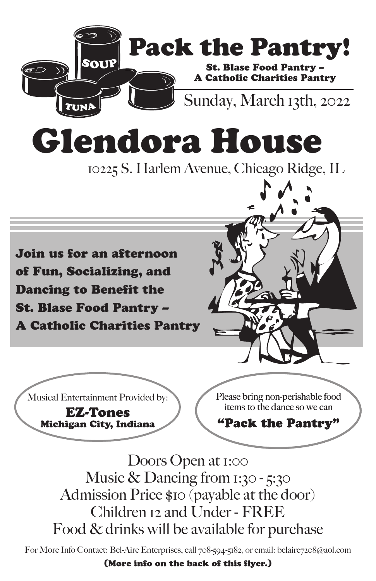

Doors Open at 1:00 Doors Open at 1:00 Music & Dancing from 1:30 - 5:30 Music & Dancing from 1:30 - 5:30 Admission Price \$10 (payable at the door) Admission Price \$10 (payable at the door) Children 12 and Under - FREE Children 12 and Under - FREE Food & drinks will be available for purchase

For More Info Contact: Bel-Aire Enterprises, call 708-594-5182, or email: belaire7208@aol.com

(More info on the back of this flyer.) (More info on the back of this flyer.)